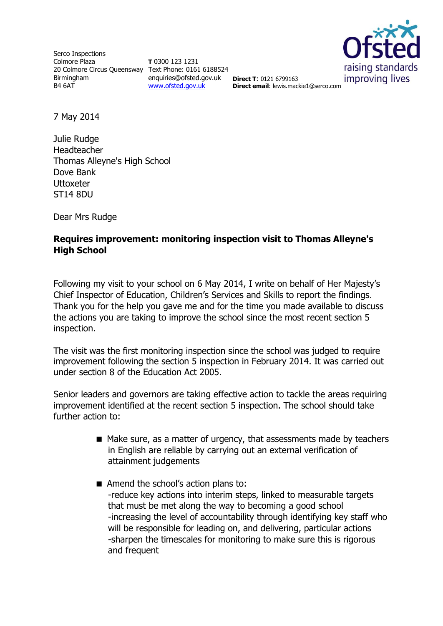Serco Inspections Colmore Plaza 20 Colmore Circus Queensway Text Phone: 0161 6188524 Birmingham B4 6AT

**T** 0300 123 1231 enquiries@ofsted.gov.uk **Direct T**: 0121 6799163 [www.ofsted.gov.uk](http://www.ofsted.gov.uk/)



**Direct email**: lewis.mackie1@serco.com

7 May 2014

Julie Rudge Headteacher Thomas Alleyne's High School Dove Bank **Uttoxeter** ST14 8DU

Dear Mrs Rudge

## **Requires improvement: monitoring inspection visit to Thomas Alleyne's High School**

Following my visit to your school on 6 May 2014, I write on behalf of Her Majesty's Chief Inspector of Education, Children's Services and Skills to report the findings. Thank you for the help you gave me and for the time you made available to discuss the actions you are taking to improve the school since the most recent section 5 inspection.

The visit was the first monitoring inspection since the school was judged to require improvement following the section 5 inspection in February 2014. It was carried out under section 8 of the Education Act 2005.

Senior leaders and governors are taking effective action to tackle the areas requiring improvement identified at the recent section 5 inspection. The school should take further action to:

- Make sure, as a matter of urgency, that assessments made by teachers in English are reliable by carrying out an external verification of attainment judgements
- Amend the school's action plans to: -reduce key actions into interim steps, linked to measurable targets that must be met along the way to becoming a good school -increasing the level of accountability through identifying key staff who will be responsible for leading on, and delivering, particular actions -sharpen the timescales for monitoring to make sure this is rigorous and frequent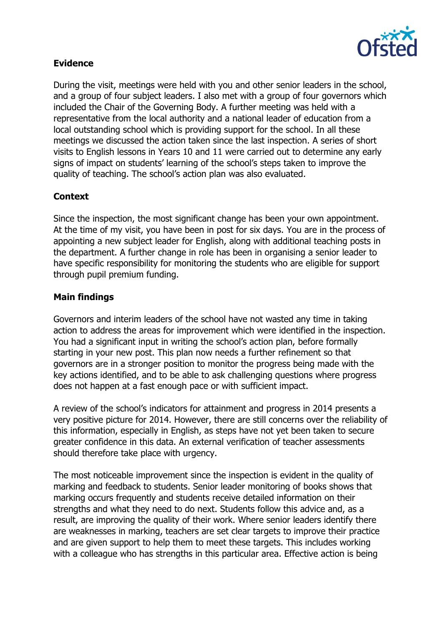

# **Evidence**

During the visit, meetings were held with you and other senior leaders in the school, and a group of four subject leaders. I also met with a group of four governors which included the Chair of the Governing Body. A further meeting was held with a representative from the local authority and a national leader of education from a local outstanding school which is providing support for the school. In all these meetings we discussed the action taken since the last inspection. A series of short visits to English lessons in Years 10 and 11 were carried out to determine any early signs of impact on students' learning of the school's steps taken to improve the quality of teaching. The school's action plan was also evaluated.

## **Context**

Since the inspection, the most significant change has been your own appointment. At the time of my visit, you have been in post for six days. You are in the process of appointing a new subject leader for English, along with additional teaching posts in the department. A further change in role has been in organising a senior leader to have specific responsibility for monitoring the students who are eligible for support through pupil premium funding.

## **Main findings**

Governors and interim leaders of the school have not wasted any time in taking action to address the areas for improvement which were identified in the inspection. You had a significant input in writing the school's action plan, before formally starting in your new post. This plan now needs a further refinement so that governors are in a stronger position to monitor the progress being made with the key actions identified, and to be able to ask challenging questions where progress does not happen at a fast enough pace or with sufficient impact.

A review of the school's indicators for attainment and progress in 2014 presents a very positive picture for 2014. However, there are still concerns over the reliability of this information, especially in English, as steps have not yet been taken to secure greater confidence in this data. An external verification of teacher assessments should therefore take place with urgency.

The most noticeable improvement since the inspection is evident in the quality of marking and feedback to students. Senior leader monitoring of books shows that marking occurs frequently and students receive detailed information on their strengths and what they need to do next. Students follow this advice and, as a result, are improving the quality of their work. Where senior leaders identify there are weaknesses in marking, teachers are set clear targets to improve their practice and are given support to help them to meet these targets. This includes working with a colleague who has strengths in this particular area. Effective action is being